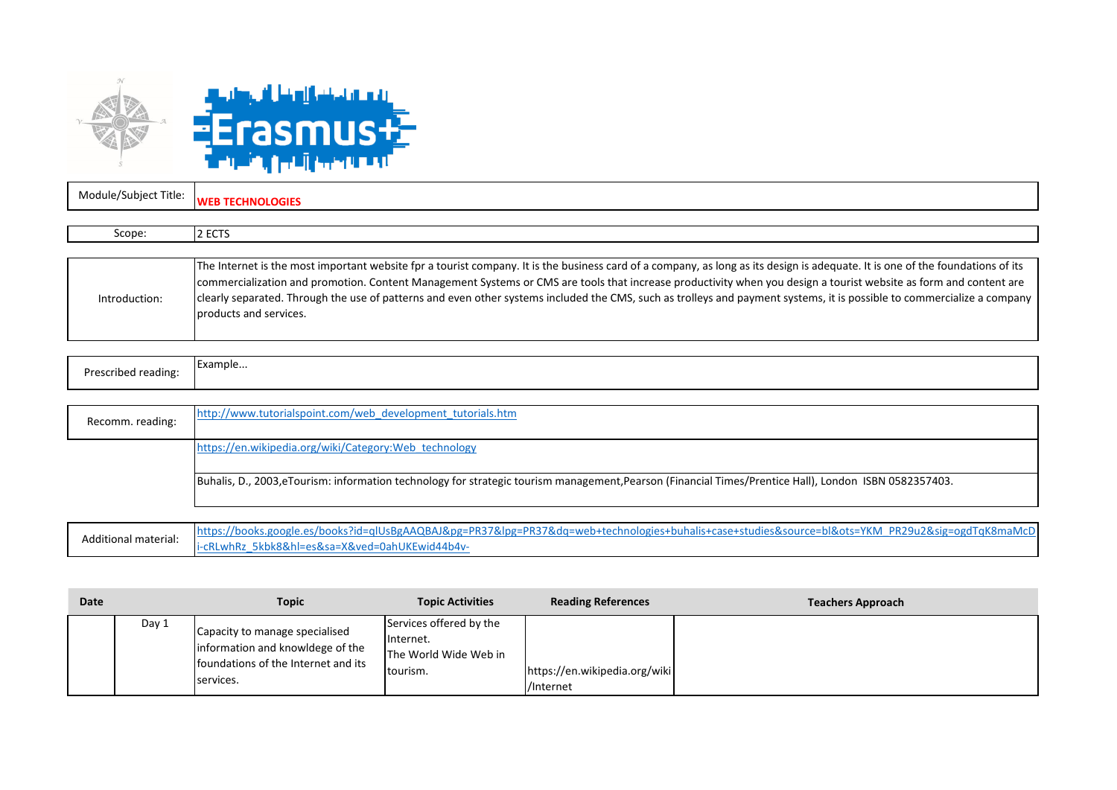

i-cRLwhRz\_5kbk8&hl=es&sa=X&ved=0ahUKEwid44b4v-

Module/Subject Title: **WEB TECHNOLOGIES**

Additional material:

| Scope:        | 2 ECTS                                                                                                                                                                                                                                                                                                                                                                                                                                                                                                                                                   |
|---------------|----------------------------------------------------------------------------------------------------------------------------------------------------------------------------------------------------------------------------------------------------------------------------------------------------------------------------------------------------------------------------------------------------------------------------------------------------------------------------------------------------------------------------------------------------------|
|               |                                                                                                                                                                                                                                                                                                                                                                                                                                                                                                                                                          |
| Introduction: | The Internet is the most important website fpr a tourist company. It is the business card of a company, as long as its design is adequate. It is one of the foundations of its<br>commercialization and promotion. Content Management Systems or CMS are tools that increase productivity when you design a tourist website as form and content are<br>clearly separated. Through the use of patterns and even other systems included the CMS, such as trolleys and payment systems, it is possible to commercialize a company<br>products and services. |

| Prescribed reading: | Example |
|---------------------|---------|
|                     |         |
|                     |         |

| Recomm. reading: | http://www.tutorialspoint.com/web_development_tutorials.htm                                                                                            |
|------------------|--------------------------------------------------------------------------------------------------------------------------------------------------------|
|                  | https://en.wikipedia.org/wiki/Category:Web technology                                                                                                  |
|                  | Buhalis, D., 2003, eTourism: information technology for strategic tourism management, Pearson (Financial Times/Prentice Hall), London ISBN 0582357403. |
|                  | https://books.google.es/books?id=qlUsBgAAQBAJ&pg=PR37&lpg=PR37&dq=web+technologies+buhalis+case+studies&source=bl&ots=YKM_PR29u2&sig=ogdTqK8maMcD      |

| Date |       | <b>Topic</b>                                                                                                           | <b>Topic Activities</b>                                                   | <b>Reading References</b>                  | <b>Teachers Approach</b> |
|------|-------|------------------------------------------------------------------------------------------------------------------------|---------------------------------------------------------------------------|--------------------------------------------|--------------------------|
|      | Day 1 | Capacity to manage specialised<br>information and knowldege of the<br>foundations of the Internet and its<br>services. | Services offered by the<br>Internet.<br>The World Wide Web in<br>tourism. | https://en.wikipedia.org/wiki<br>/Internet |                          |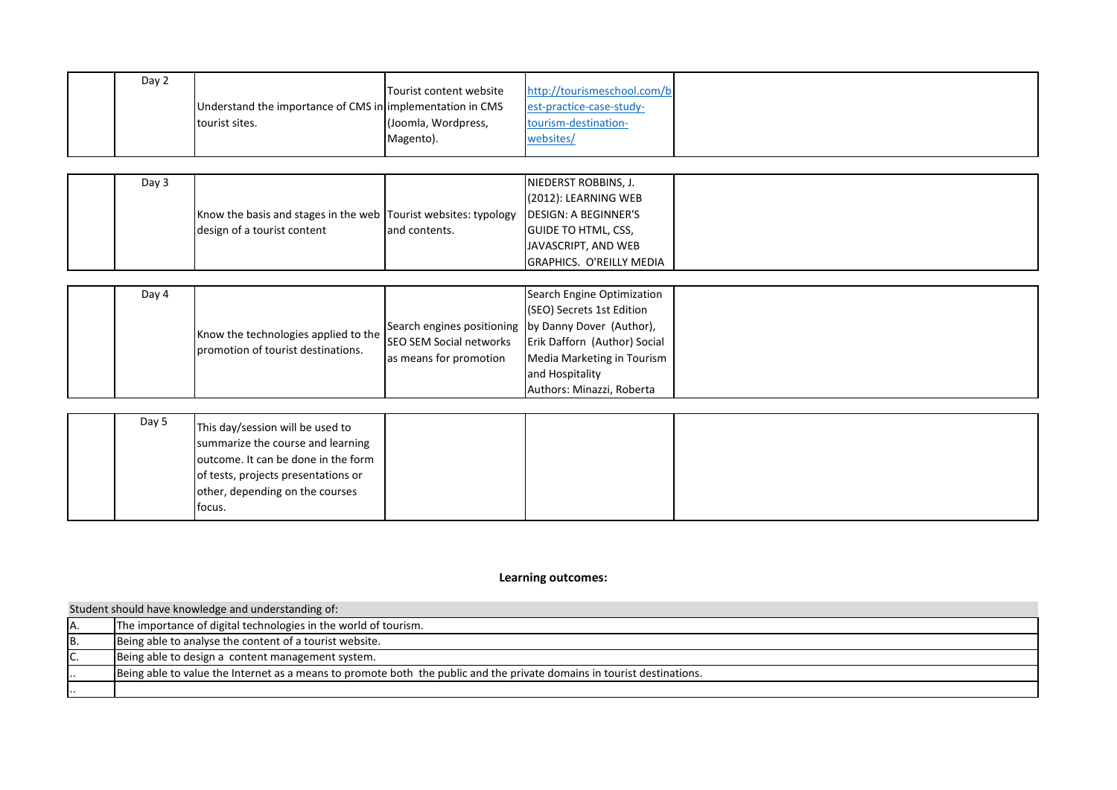| Day 2 |                                                            |                         |                             |  |
|-------|------------------------------------------------------------|-------------------------|-----------------------------|--|
|       |                                                            | Tourist content website | http://tourismeschool.com/b |  |
|       | Understand the importance of CMS in limplementation in CMS |                         | est-practice-case-study-    |  |
|       | tourist sites.                                             | (Joomla, Wordpress,     | tourism-destination-        |  |
|       |                                                            | Magento).               | websites/                   |  |

| Day 3 |                                                                                              |                | NIEDERST ROBBINS, J.            |  |
|-------|----------------------------------------------------------------------------------------------|----------------|---------------------------------|--|
|       |                                                                                              |                | $(2012)$ : LEARNING WEB         |  |
|       | <b>Know the basis and stages in the web Tourist websites: typology IDESIGN: A BEGINNER'S</b> |                |                                 |  |
|       | design of a tourist content                                                                  | land contents. | <b>GUIDE TO HTML, CSS,</b>      |  |
|       |                                                                                              |                | JAVASCRIPT, AND WEB             |  |
|       |                                                                                              |                | <b>GRAPHICS. O'REILLY MEDIA</b> |  |

| Day 4 |                                                                            |                                                     | Search Engine Optimization                           |
|-------|----------------------------------------------------------------------------|-----------------------------------------------------|------------------------------------------------------|
|       |                                                                            |                                                     |                                                      |
|       | Know the technologies applied to the<br>promotion of tourist destinations. |                                                     | (SEO) Secrets 1st Edition                            |
|       |                                                                            | Search engines positioning by Danny Dover (Author), |                                                      |
|       |                                                                            |                                                     | SEO SEM Social networks Erik Dafforn (Author) Social |
|       |                                                                            | as means for promotion                              | Media Marketing in Tourism                           |
|       |                                                                            |                                                     | and Hospitality                                      |
|       |                                                                            |                                                     | Authors: Minazzi, Roberta                            |

| Day 5 | This day/session will be used to<br>summarize the course and learning<br>outcome. It can be done in the form |  |  |
|-------|--------------------------------------------------------------------------------------------------------------|--|--|
|       | of tests, projects presentations or                                                                          |  |  |
|       | other, depending on the courses<br>focus.                                                                    |  |  |

**Learning outcomes:**

|     | Student should have knowledge and understanding of:                                                                     |  |  |  |  |
|-----|-------------------------------------------------------------------------------------------------------------------------|--|--|--|--|
|     | The importance of digital technologies in the world of tourism.                                                         |  |  |  |  |
| IB. | Being able to analyse the content of a tourist website.                                                                 |  |  |  |  |
| IC. | Being able to design a content management system.                                                                       |  |  |  |  |
|     | Being able to value the Internet as a means to promote both the public and the private domains in tourist destinations. |  |  |  |  |
|     |                                                                                                                         |  |  |  |  |